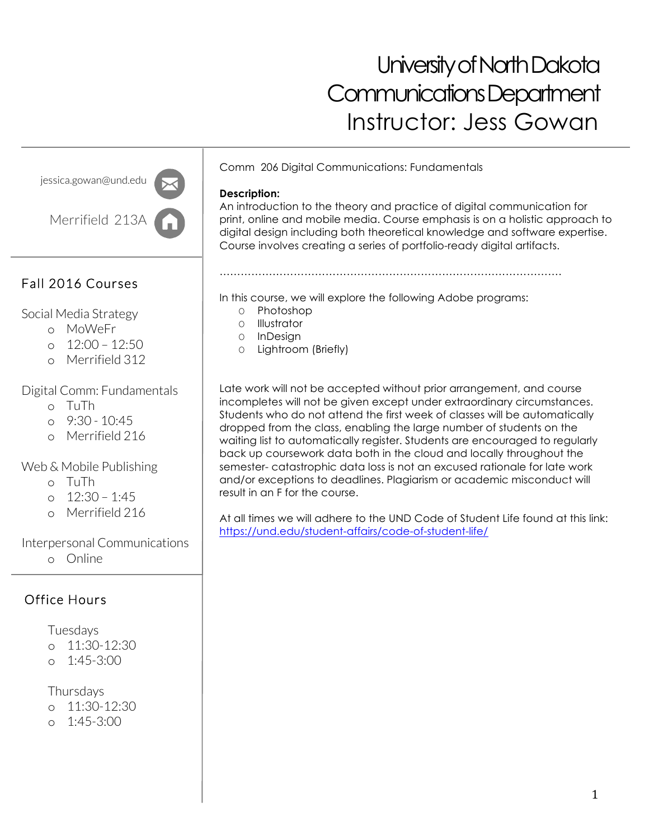# University of North Dakota Communications Department Instructor: Jess Gowan

jessica.gowan@und.edu

Merrifield 213A

# Fall 2016 Courses

# Social Media Strategy

- o MoWeFr
- o 12:00 12:50
- o Merrifield 312

# Digital Comm: Fundamentals

- o TuTh
- $0.9:30 10:45$
- o Merrifield 216

# Web & Mobile Publishing

- o TuTh
- o 12:30 1:45
- o Merrifield 216

# Interpersonal Communications

o Online

# Office Hours

#### Tuesdays

- o 11:30-12:30
- o 1:45-3:00

## Thursdays

- o 11:30-12:30
- o 1:45-3:00

Comm 206 Digital Communications: Fundamentals

### **Description:**

An introduction to the theory and practice of digital communication for print, online and mobile media. Course emphasis is on a holistic approach to digital design including both theoretical knowledge and software expertise. Course involves creating a series of portfolio-ready digital artifacts.

In this course, we will explore the following Adobe programs:

…………………………………………………………………………………….

- O Photoshop
- O Illustrator
- O InDesign
- O Lightroom (Briefly)

Late work will not be accepted without prior arrangement, and course incompletes will not be given except under extraordinary circumstances. Students who do not attend the first week of classes will be automatically dropped from the class, enabling the large number of students on the waiting list to automatically register. Students are encouraged to regularly back up coursework data both in the cloud and locally throughout the semester- catastrophic data loss is not an excused rationale for late work and/or exceptions to deadlines. Plagiarism or academic misconduct will result in an F for the course.

At all times we will adhere to the UND Code of Student Life found at this link: https://und.edu/student-affairs/code-of-student-life/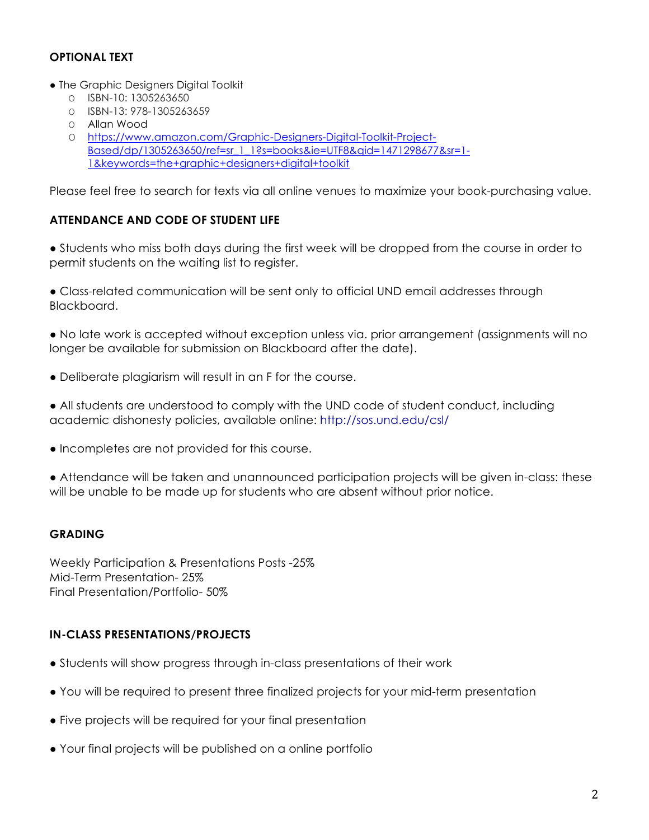#### **OPTIONAL TEXT**

- The Graphic Designers Digital Toolkit
	- O ISBN-10: 1305263650
	- O ISBN-13: 978-1305263659
	- O Allan Wood
	- O https://www.amazon.com/Graphic-Designers-Digital-Toolkit-Project-Based/dp/1305263650/ref=sr\_1\_1?s=books&ie=UTF8&qid=1471298677&sr=1- 1&keywords=the+graphic+designers+digital+toolkit

Please feel free to search for texts via all online venues to maximize your book-purchasing value.

#### **ATTENDANCE AND CODE OF STUDENT LIFE**

● Students who miss both days during the first week will be dropped from the course in order to permit students on the waiting list to register.

● Class-related communication will be sent only to official UND email addresses through Blackboard.

● No late work is accepted without exception unless via. prior arrangement (assignments will no longer be available for submission on Blackboard after the date).

- Deliberate plagiarism will result in an F for the course.
- All students are understood to comply with the UND code of student conduct, including academic dishonesty policies, available online: http://sos.und.edu/csl/
- Incompletes are not provided for this course.

● Attendance will be taken and unannounced participation projects will be given in-class: these will be unable to be made up for students who are absent without prior notice.

#### **GRADING**

Weekly Participation & Presentations Posts -25% Mid-Term Presentation- 25% Final Presentation/Portfolio- 50%

#### **IN-CLASS PRESENTATIONS/PROJECTS**

- Students will show progress through in-class presentations of their work
- You will be required to present three finalized projects for your mid-term presentation
- Five projects will be required for your final presentation
- Your final projects will be published on a online portfolio